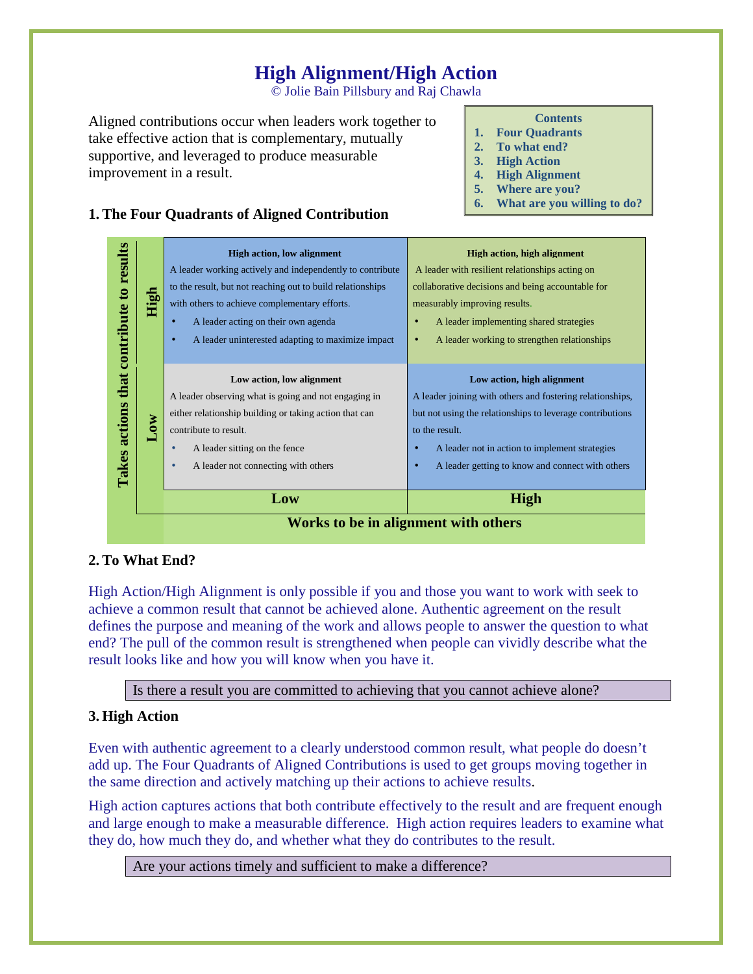# **High Alignment/High Action**

© Jolie Bain Pillsbury and Raj Chawla

Aligned contributions occur when leaders work together to take effective action that is complementary, mutually supportive, and leveraged to produce measurable improvement in a result.

#### **Contents**

- **1. Four Quadrants**
- **2. To what end?**
- **3. High Action**
- **4. High Alignment**
- **5. Where are you?**
- **6. What are you willing to do?**



## **2. To What End?**

High Action/High Alignment is only possible if you and those you want to work with seek to achieve a common result that cannot be achieved alone. Authentic agreement on the result defines the purpose and meaning of the work and allows people to answer the question to what end? The pull of the common result is strengthened when people can vividly describe what the result looks like and how you will know when you have it.

Is there a result you are committed to achieving that you cannot achieve alone?

## **3. High Action**

Even with authentic agreement to a clearly understood common result, what people do doesn't add up. The Four Quadrants of Aligned Contributions is used to get groups moving together in the same direction and actively matching up their actions to achieve results.

High action captures actions that both contribute effectively to the result and are frequent enough and large enough to make a measurable difference. High action requires leaders to examine what they do, how much they do, and whether what they do contributes to the result.

Are your actions timely and sufficient to make a difference?